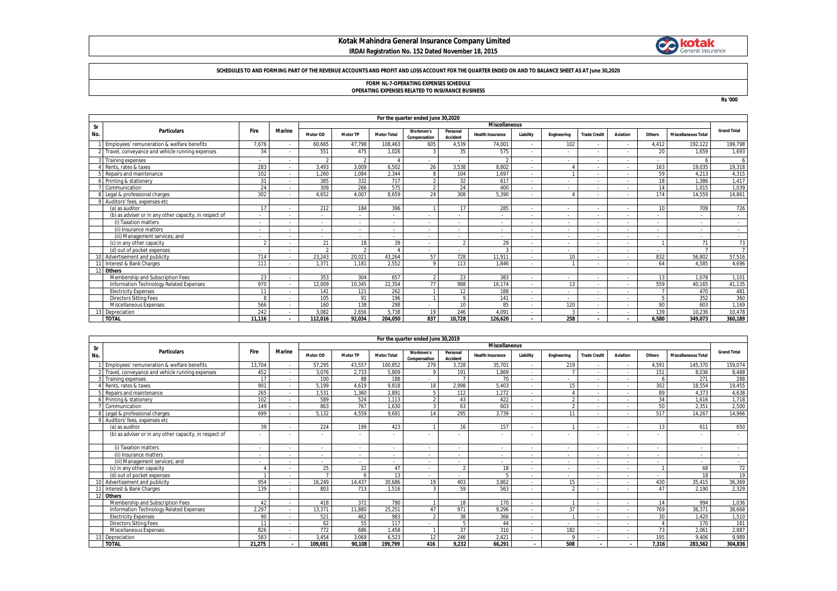# **Kotak Mahindra General Insurance Company Limited IRDAI Registration No. 152 Dated November 18, 2015**



#### **SCHEDULES TO AND FORMING PART OF THE REVENUE ACCOUNTS AND PROFIT AND LOSS ACCOUNT FOR THE QUARTER ENDED ON AND TO BALANCE SHEET AS AT June 30,2020**

# **FORM NL-7-OPERATING EXPENSES SCHEDULE OPERATING EXPENSES RELATED TO INSURANCE BUSINESS**

**Rs '000**

|                            | For the quarter ended June 30,2020                     |              |               |                 |                          |                    |                           |                          |                          |                          |                          |                          |                          |        |                            |                    |
|----------------------------|--------------------------------------------------------|--------------|---------------|-----------------|--------------------------|--------------------|---------------------------|--------------------------|--------------------------|--------------------------|--------------------------|--------------------------|--------------------------|--------|----------------------------|--------------------|
| <b>Miscellaneous</b><br>Sr |                                                        |              |               |                 |                          |                    |                           |                          |                          |                          |                          |                          |                          |        |                            |                    |
| No.                        | <b>Particulars</b>                                     | Fire         | <b>Marine</b> | <b>Motor OD</b> | <b>Motor TP</b>          | <b>Motor Total</b> | Workmen's<br>Compensation | Personal<br>Accident     | <b>Health Insurance</b>  | Liability                | Engineering              | <b>Trade Credit</b>      | Aviation                 | Others | <b>Miscellaneous Total</b> | <b>Grand Total</b> |
|                            | Employees' remuneration & welfare benefits             | 7,676        |               | 60,665          | 47,798                   | 108,463            | 605                       | 4,539                    | 74,001                   | $\sim$                   | 102                      | $\overline{\phantom{a}}$ | $\sim$                   | 4,412  | 192,122                    | 199,798            |
|                            | Travel, conveyance and vehicle running expenses        | 34           |               | 551             | 475                      | 1,026              |                           | 35                       | 575                      | $\sim$                   |                          |                          |                          | 20     | 1.659                      | 1,693              |
|                            | Training expenses                                      |              |               |                 | $\mathfrak{D}$           |                    |                           | $\sim$                   | $\mathfrak{D}$           | ٠                        |                          | $\overline{\phantom{a}}$ |                          |        |                            | 6                  |
|                            | Rents, rates & taxes                                   | 283          |               | 3.493           | 3.009                    | 6,502              | 26                        | 3.538                    | 8.802                    | ٠                        |                          |                          | $\sim$                   | 163    | 19,035                     | 19,318             |
|                            | Repairs and maintenance                                | 102          |               | 1.260           | 1.084                    | 2.344              | $\circ$                   | 104                      | 1.697                    | ٠                        |                          |                          | $\sim$                   | 59     | 4.213                      | 4.315              |
|                            | Printing & stationery                                  | 31           |               | 385             | 332                      | 717                |                           | 32                       | 617                      | $\overline{\phantom{a}}$ |                          |                          | $\sim$                   | 18     | 1,386                      | 1,417              |
|                            | Communication                                          | 24           |               | 309             | 266                      | 575                |                           | 24                       | 400                      | ٠                        |                          | $\overline{\phantom{0}}$ | $\sim$                   | 14     | 1.015                      | 1,039              |
|                            | Legal & professional charges                           | 302          |               | 4.652           | 4.007                    | 8.659              | 24                        | 308                      | 5.390                    | $\overline{\phantom{a}}$ |                          |                          |                          | 174    | 14,559                     | 14,861             |
|                            | Auditors' fees, expenses etc.                          |              |               |                 |                          |                    |                           |                          |                          |                          |                          |                          |                          |        |                            |                    |
|                            | (a) as auditor                                         | 17           |               | 212             | 184                      | 396                |                           | 17                       | 285                      | $\overline{\phantom{a}}$ |                          | $\overline{\phantom{0}}$ | $\sim$                   | 10     | 709                        | 726                |
|                            | (b) as adviser or in any other capacity, in respect of |              |               |                 |                          |                    |                           | $\overline{\phantom{0}}$ |                          | ٠                        |                          |                          |                          |        |                            |                    |
|                            | (i) Taxation matters                                   |              |               |                 |                          |                    |                           |                          |                          | ٠                        | $\overline{\phantom{a}}$ |                          | $\overline{\phantom{a}}$ |        |                            | $\sim$             |
|                            | (ii) Insurance matters                                 |              |               |                 | $\overline{\phantom{a}}$ |                    |                           | $\overline{\phantom{a}}$ | $\overline{\phantom{a}}$ | $\overline{\phantom{a}}$ | $\overline{\phantom{a}}$ | $\overline{\phantom{a}}$ | $\sim$                   |        |                            | $\sim$             |
|                            | (iii) Management services; and                         |              |               |                 |                          |                    |                           |                          |                          | $\overline{\phantom{a}}$ |                          |                          | $\sim$                   |        |                            | $\sim$             |
|                            | (c) in any other capacity                              | $\gamma$     |               | 21              | 18                       | 39                 |                           | $\gamma$                 | 29                       | ٠                        | $\overline{\phantom{a}}$ | $\overline{\phantom{0}}$ | $\sim$                   |        | 71                         | 73                 |
|                            | (d) out of pocket expenses                             |              |               |                 | $\mathfrak{D}$           |                    |                           |                          | $\mathbf{R}$             | ٠                        |                          | $\overline{\phantom{0}}$ | $\sim$                   |        |                            | $\overline{7}$     |
|                            | 10 Advertisement and publicity                         | 714          |               | 23,243          | 20.021                   | 43,264             | 57                        | 728                      | 11.911                   | $\overline{\phantom{a}}$ | 10                       |                          |                          | 832    | 56,802                     | 57,516             |
|                            | Interest & Bank Charges                                | 111          |               | 1.371           | 1.181                    | 2,552              | $\Omega$                  | 113                      | 1.846                    | $\overline{\phantom{a}}$ |                          |                          |                          | 64     | 4.585                      | 4,696              |
|                            | 12 Others                                              |              |               |                 |                          |                    |                           |                          |                          |                          |                          |                          |                          |        |                            |                    |
|                            | Membership and Subscription Fees                       | 23           |               | 353             | 304                      | 657                |                           | 23                       | 383                      | $\overline{\phantom{a}}$ |                          | $\overline{\phantom{0}}$ | $\sim$                   | 13     | 1.078                      | 1.101              |
|                            | Information Technology Related Expenses                | 970          |               | 12,009          | 10.345                   | 22,354             | 77                        | 988                      | 16.174                   | $\overline{\phantom{a}}$ | 13                       |                          |                          | 559    | 40.165                     | 41,135             |
|                            | <b>Electricity Expenses</b>                            | 11           |               | 141             | 121                      | 262                |                           | 12                       | 188                      | $\overline{\phantom{a}}$ |                          |                          | $\sim$                   |        | 470                        | 481                |
|                            | <b>Directors Sitting Fees</b>                          | $\mathbf{R}$ |               | 105             | 91                       | 196                |                           | $\mathbf Q$              | 141                      | $\overline{\phantom{a}}$ | $\overline{\phantom{a}}$ | $\overline{\phantom{0}}$ | $\sim$                   |        | 352                        | 360                |
|                            | <b>Miscellaneous Expenses</b>                          | 566          |               | 160             | 138                      | 298                |                           | 10                       | 85                       | ٠                        | 120                      | $\overline{\phantom{0}}$ | $\sim$                   | 90     | 603                        | 1.169              |
|                            | Depreciation                                           | 242          |               | 3.082           | 2.656                    | 5.738              | 19                        | 246                      | 4.091                    | $\overline{\phantom{a}}$ | $\mathbf{3}$             | $\overline{\phantom{0}}$ | $\sim$                   | 139    | 10,236                     | 10,478             |
|                            | <b>TOTAL</b>                                           | 11.116       |               | 112.016         | 92.034                   | 204,050            | 837                       | 10.728                   | 126.620                  | $\overline{\phantom{a}}$ | 258                      |                          |                          | 6.580  | 349.073                    | 360,189            |

|     |                                                        |           |                          |                          |                          |                          | For the quarter ended June 30,2019 |                      |                          |                          |             |                          |                          |                          |                            |                          |
|-----|--------------------------------------------------------|-----------|--------------------------|--------------------------|--------------------------|--------------------------|------------------------------------|----------------------|--------------------------|--------------------------|-------------|--------------------------|--------------------------|--------------------------|----------------------------|--------------------------|
| Sr  |                                                        |           |                          | <b>Miscellaneous</b>     |                          |                          |                                    |                      |                          |                          |             |                          |                          |                          |                            |                          |
| No. | <b>Particulars</b>                                     | Fire      | <b>Marine</b>            | Motor OD                 | <b>Motor TP</b>          | <b>Motor Total</b>       | Workmen's<br>Compensation          | Personal<br>Accident | <b>Health Insurance</b>  | Liability                | Engineering | <b>Trade Credit</b>      | Aviation                 | Others                   | <b>Miscellaneous Total</b> | <b>Grand Total</b>       |
|     | Employees' remuneration & welfare benefits             | 13,704    |                          | 57,295                   | 43,557                   | 100,852                  | 279                                | 3,728                | 35,70'                   |                          | 219         |                          |                          | 4,591                    | 145.370                    | 159,074                  |
|     | 2 Travel, conveyance and vehicle running expenses      | 452       |                          | 3.076                    | 2.733                    | 5.809                    | $\mathsf{Q}$                       | 191                  | 1.869                    | $\overline{\phantom{a}}$ |             |                          |                          | 151                      | 8.036                      | 8,488                    |
|     | Training expenses                                      | 17        |                          | 100                      | 88                       | 188                      |                                    |                      | 70                       | $\overline{\phantom{a}}$ | $\sim$      |                          |                          |                          | 271                        | 288                      |
|     | Rents, rates & taxes                                   | 901       |                          | 5.199                    | 4.619                    | 9.818                    | 18                                 | 2.998                | 5.403                    | $\sim$                   | 15          |                          |                          | 302                      | 18.554                     | 19,455                   |
|     | Repairs and maintenance                                | 265       |                          | 1,531                    | 1.360                    | 2,891                    | 5                                  | 112                  | 1,272                    | $\sim$                   |             |                          |                          | 89                       | 4.373                      | 4,638                    |
|     | Printing & stationery                                  | 102       |                          | 589                      | 524                      | 1.113                    | $\mathfrak{D}$                     | 43                   | 422                      | $\sim$                   |             |                          |                          | 34                       | 1.616                      | 1.718                    |
|     | Communication                                          | 149       |                          | 863                      | 767                      | 1.630                    | $\mathbf{3}$                       | 63                   | 603                      |                          |             |                          |                          | 50                       | 2.351                      | 2,500                    |
|     | Legal & professional charges                           | 699       |                          | 5.132                    | 4.559                    | 9.691                    | 14                                 | 295                  | 3.739                    |                          | 11          |                          |                          | 517                      | 14.267                     | 14,966                   |
|     | Auditors' fees, expenses etc                           |           |                          |                          |                          |                          |                                    |                      |                          |                          |             |                          |                          |                          |                            |                          |
|     | (a) as auditor                                         | 39        |                          | 224                      | 199                      | 423                      |                                    | 16                   | 157                      |                          |             |                          |                          | 13                       | 611                        | 650                      |
|     | (b) as adviser or in any other capacity, in respect of |           |                          |                          |                          |                          |                                    |                      |                          |                          |             |                          |                          |                          |                            |                          |
|     | (i) Taxation matters                                   | $\sim$    |                          | $\sim$                   | $\overline{\phantom{a}}$ | $\sim$                   | $\sim$                             |                      | $\overline{\phantom{a}}$ | $\sim$                   | $\sim$      |                          | $\overline{\phantom{a}}$ | $\sim$                   | $\sim$                     | $\overline{\phantom{a}}$ |
|     | (ii) Insurance matters                                 |           |                          | $\overline{\phantom{a}}$ |                          | $\overline{\phantom{a}}$ | $\overline{\phantom{a}}$           |                      |                          |                          | $\sim$      |                          |                          | $\overline{\phantom{a}}$ |                            |                          |
|     | (iii) Management services: and                         |           |                          | ٠                        |                          | $\overline{\phantom{a}}$ | $\overline{\phantom{a}}$           |                      |                          |                          | $\sim$      |                          |                          |                          | $\overline{\phantom{a}}$   | $\sim$                   |
|     | (c) in any other capacity                              |           |                          | 25                       | 22                       | 47                       | $\overline{\phantom{a}}$           | $\mathfrak{D}$       | 18                       | $\overline{\phantom{a}}$ | $\sim$      |                          |                          |                          | 68                         | 72                       |
|     | (d) out of pocket expenses                             |           |                          |                          |                          |                          | $\sim$                             |                      |                          | $\overline{\phantom{a}}$ | $\sim$      |                          | $\overline{\phantom{a}}$ | $\sim$                   | 18                         | 19                       |
|     | 10 Advertisement and publicity                         | 954       |                          | 16.249                   | 14.437                   | 30.686                   | 19                                 | 403                  | 3,862                    | $\sim$                   | 15          |                          |                          | 430                      | 35,415                     | 36,369                   |
|     | Interest & Bank Charges                                | 139       |                          | 803                      | 713                      | 1.516                    | $\mathcal{L}$                      | 59                   | 563                      | $\overline{\phantom{a}}$ |             |                          |                          | $\Lambda$ <sup>-</sup>   | 2.190                      | 2,329                    |
| 12  | <b>Others</b>                                          |           |                          |                          |                          |                          |                                    |                      |                          |                          |             |                          |                          |                          |                            |                          |
|     | Membership and Subscription Fees                       | $\Lambda$ |                          | 418                      | 372                      | 790                      |                                    | 18                   | 170                      |                          |             |                          | $\overline{\phantom{a}}$ | 11                       | 994                        | 1,036                    |
|     | Information Technology Related Expenses                | 2.297     |                          | 13,371                   | 11,880                   | 25,251                   | 47                                 | 971                  | 9.296                    |                          | 37          |                          |                          | 769                      | 36.371                     | 38,668                   |
|     | <b>Electricity Expenses</b>                            | 90        |                          | 521                      | 462                      | 983                      | $\mathcal{D}$                      | 38                   | 366                      | $\overline{\phantom{a}}$ |             |                          |                          | 30                       | .420                       | 1,510                    |
|     | <b>Directors Sitting Fees</b>                          |           |                          | 62                       | 55                       | 117                      | $\sim$                             |                      | $\Delta$                 | $\overline{\phantom{a}}$ | $\sim$      |                          | $\overline{\phantom{a}}$ |                          | 170                        | 181                      |
|     | Miscellaneous Expenses                                 | 826       |                          | 772                      | 686                      | 1.458                    |                                    | 37                   | 310                      | $\sim$                   | 182         |                          | ٠                        | 73                       | 2.061                      | 2,887                    |
|     | 13 Depreciation                                        | 583       |                          | 3.454                    | 3.069                    | 6.523                    | 12                                 | 246                  | 2.421                    | $\sim$                   |             |                          | $\overline{\phantom{a}}$ | 195                      | 9.406                      | 9,989                    |
|     | <b>TOTAL</b>                                           | 21,275    | $\overline{\phantom{a}}$ | 109,691                  | 90,108                   | 199,799                  | 416                                | 9.232                | 66,291                   | $\sim$                   | 508         | $\overline{\phantom{a}}$ | . .                      | 7,316                    | 283,562                    | 304,836                  |